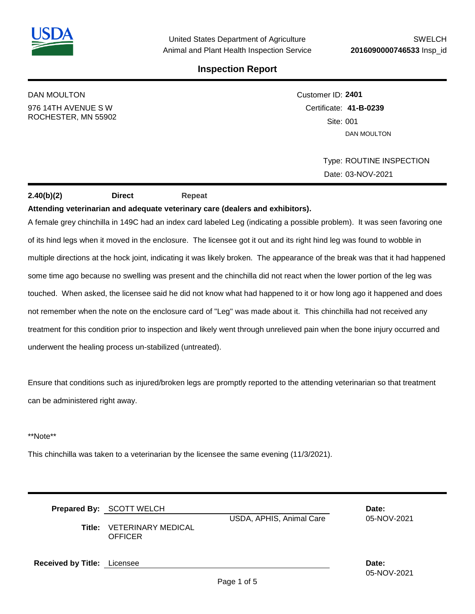

# DAN MOULTON 976 14TH AVENUE S W

ROCHESTER, MN 55902

# Customer ID: **2401** Certificate: **41-B-0239**  Site: 001 DAN MOULTON

Type: ROUTINE INSPECTION Date: 03-NOV-2021

## **2.40(b)(2) Direct Repeat**

### **Attending veterinarian and adequate veterinary care (dealers and exhibitors).**

A female grey chinchilla in 149C had an index card labeled Leg (indicating a possible problem). It was seen favoring one of its hind legs when it moved in the enclosure. The licensee got it out and its right hind leg was found to wobble in multiple directions at the hock joint, indicating it was likely broken. The appearance of the break was that it had happened some time ago because no swelling was present and the chinchilla did not react when the lower portion of the leg was touched. When asked, the licensee said he did not know what had happened to it or how long ago it happened and does not remember when the note on the enclosure card of "Leg" was made about it. This chinchilla had not received any treatment for this condition prior to inspection and likely went through unrelieved pain when the bone injury occurred and underwent the healing process un-stabilized (untreated).

Ensure that conditions such as injured/broken legs are promptly reported to the attending veterinarian so that treatment can be administered right away.

#### \*\*Note\*\*

This chinchilla was taken to a veterinarian by the licensee the same evening (11/3/2021).

|                                    | Prepared By: SCOTT WELCH<br>USDA, APHIS, Animal Care<br><b>Title: VETERINARY MEDICAL</b><br><b>OFFICER</b> |  | Date:<br>05-NOV-2021 |
|------------------------------------|------------------------------------------------------------------------------------------------------------|--|----------------------|
| <b>Received by Title:</b> Licensee |                                                                                                            |  | Date:                |

05-NOV-2021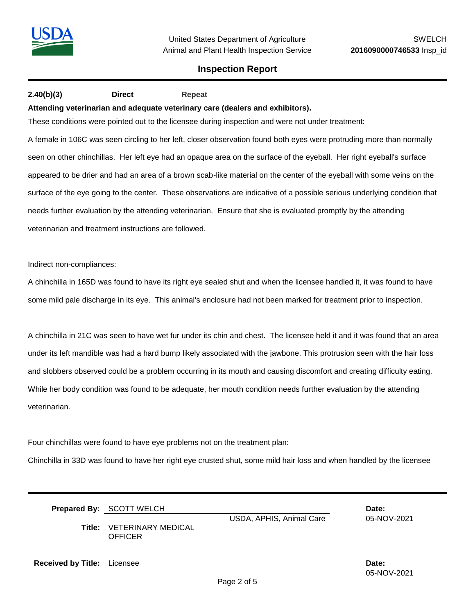## **2.40(b)(3) Direct Repeat**

#### **Attending veterinarian and adequate veterinary care (dealers and exhibitors).**

These conditions were pointed out to the licensee during inspection and were not under treatment:

A female in 106C was seen circling to her left, closer observation found both eyes were protruding more than normally seen on other chinchillas. Her left eye had an opaque area on the surface of the eyeball. Her right eyeball's surface appeared to be drier and had an area of a brown scab-like material on the center of the eyeball with some veins on the surface of the eye going to the center. These observations are indicative of a possible serious underlying condition that needs further evaluation by the attending veterinarian. Ensure that she is evaluated promptly by the attending veterinarian and treatment instructions are followed.

#### Indirect non-compliances:

A chinchilla in 165D was found to have its right eye sealed shut and when the licensee handled it, it was found to have some mild pale discharge in its eye. This animal's enclosure had not been marked for treatment prior to inspection.

A chinchilla in 21C was seen to have wet fur under its chin and chest. The licensee held it and it was found that an area under its left mandible was had a hard bump likely associated with the jawbone. This protrusion seen with the hair loss and slobbers observed could be a problem occurring in its mouth and causing discomfort and creating difficulty eating. While her body condition was found to be adequate, her mouth condition needs further evaluation by the attending veterinarian.

Four chinchillas were found to have eye problems not on the treatment plan:

Chinchilla in 33D was found to have her right eye crusted shut, some mild hair loss and when handled by the licensee

| Title:                             | Prepared By: SCOTT WELCH<br>USDA, APHIS, Animal Care<br>VETERINARY MEDICAL<br>OFFICER |  | Date:<br>05-NOV-2021 |
|------------------------------------|---------------------------------------------------------------------------------------|--|----------------------|
| <b>Received by Title:</b> Licensee |                                                                                       |  | Date:                |

05-NOV-2021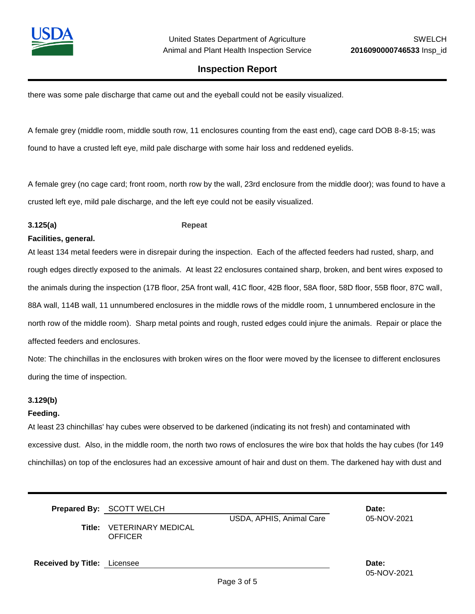

there was some pale discharge that came out and the eyeball could not be easily visualized.

A female grey (middle room, middle south row, 11 enclosures counting from the east end), cage card DOB 8-8-15; was found to have a crusted left eye, mild pale discharge with some hair loss and reddened eyelids.

A female grey (no cage card; front room, north row by the wall, 23rd enclosure from the middle door); was found to have a crusted left eye, mild pale discharge, and the left eye could not be easily visualized.

#### **3.125(a) Repeat**

#### **Facilities, general.**

At least 134 metal feeders were in disrepair during the inspection. Each of the affected feeders had rusted, sharp, and rough edges directly exposed to the animals. At least 22 enclosures contained sharp, broken, and bent wires exposed to the animals during the inspection (17B floor, 25A front wall, 41C floor, 42B floor, 58A floor, 58D floor, 55B floor, 87C wall, 88A wall, 114B wall, 11 unnumbered enclosures in the middle rows of the middle room, 1 unnumbered enclosure in the north row of the middle room). Sharp metal points and rough, rusted edges could injure the animals. Repair or place the affected feeders and enclosures.

Note: The chinchillas in the enclosures with broken wires on the floor were moved by the licensee to different enclosures during the time of inspection.

#### **3.129(b)**

#### **Feeding.**

At least 23 chinchillas' hay cubes were observed to be darkened (indicating its not fresh) and contaminated with excessive dust. Also, in the middle room, the north two rows of enclosures the wire box that holds the hay cubes (for 149 chinchillas) on top of the enclosures had an excessive amount of hair and dust on them. The darkened hay with dust and

|                                    | <b>Prepared By: SCOTT WELCH</b><br>USDA, APHIS, Animal Care<br><b>Title: VETERINARY MEDICAL</b><br><b>OFFICER</b> |  | Date:<br>05-NOV-2021 |
|------------------------------------|-------------------------------------------------------------------------------------------------------------------|--|----------------------|
| <b>Received by Title:</b> Licensee |                                                                                                                   |  | Date:                |

Page 3 of 5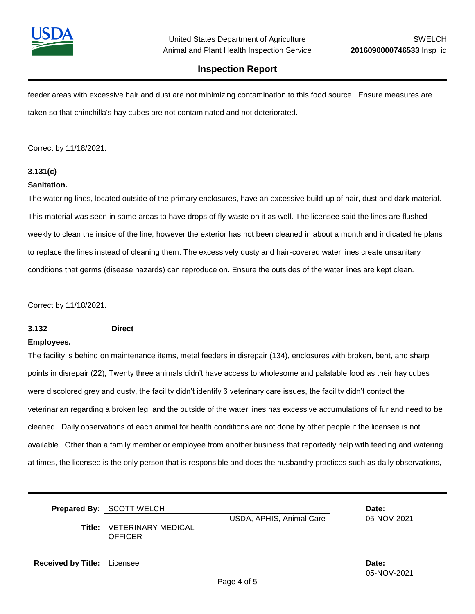

05-NOV-2021

## **Inspection Report**

feeder areas with excessive hair and dust are not minimizing contamination to this food source. Ensure measures are taken so that chinchilla's hay cubes are not contaminated and not deteriorated.

Correct by 11/18/2021.

### **3.131(c)**

#### **Sanitation.**

The watering lines, located outside of the primary enclosures, have an excessive build-up of hair, dust and dark material. This material was seen in some areas to have drops of fly-waste on it as well. The licensee said the lines are flushed weekly to clean the inside of the line, however the exterior has not been cleaned in about a month and indicated he plans to replace the lines instead of cleaning them. The excessively dusty and hair-covered water lines create unsanitary conditions that germs (disease hazards) can reproduce on. Ensure the outsides of the water lines are kept clean.

Correct by 11/18/2021.

#### **3.132 Direct**

#### **Employees.**

The facility is behind on maintenance items, metal feeders in disrepair (134), enclosures with broken, bent, and sharp points in disrepair (22), Twenty three animals didn't have access to wholesome and palatable food as their hay cubes were discolored grey and dusty, the facility didn't identify 6 veterinary care issues, the facility didn't contact the veterinarian regarding a broken leg, and the outside of the water lines has excessive accumulations of fur and need to be cleaned. Daily observations of each animal for health conditions are not done by other people if the licensee is not available. Other than a family member or employee from another business that reportedly help with feeding and watering at times, the licensee is the only person that is responsible and does the husbandry practices such as daily observations,

|                                    | Prepared By: SCOTT WELCH<br>USDA, APHIS, Animal Care<br><b>Title: VETERINARY MEDICAL</b> |  | Date:<br>05-NOV-2021 |
|------------------------------------|------------------------------------------------------------------------------------------|--|----------------------|
|                                    | <b>OFFICER</b>                                                                           |  |                      |
| <b>Received by Title:</b> Licensee |                                                                                          |  | Date:                |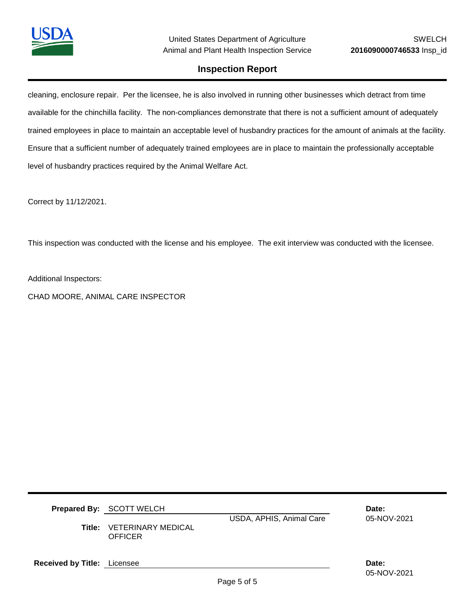

cleaning, enclosure repair. Per the licensee, he is also involved in running other businesses which detract from time available for the chinchilla facility. The non-compliances demonstrate that there is not a sufficient amount of adequately trained employees in place to maintain an acceptable level of husbandry practices for the amount of animals at the facility. Ensure that a sufficient number of adequately trained employees are in place to maintain the professionally acceptable level of husbandry practices required by the Animal Welfare Act.

Correct by 11/12/2021.

This inspection was conducted with the license and his employee. The exit interview was conducted with the licensee.

Additional Inspectors:

CHAD MOORE, ANIMAL CARE INSPECTOR

|                                    | <b>Prepared By: SCOTT WELCH</b>      |                          | Date:       |
|------------------------------------|--------------------------------------|--------------------------|-------------|
| Title:                             | VETERINARY MEDICAL<br><b>OFFICER</b> | USDA, APHIS, Animal Care | 05-NOV-2021 |
| <b>Received by Title:</b> Licensee |                                      |                          | Date:       |